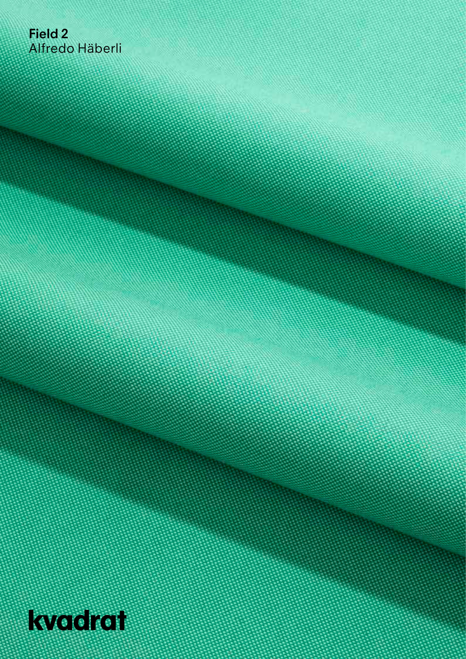## **Field 2** Alfredo Häberli